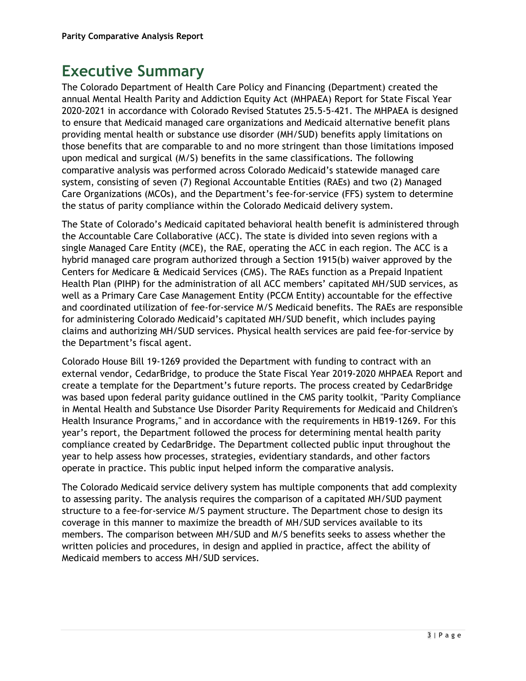# **Executive Summary**

The Colorado Department of Health Care Policy and Financing (Department) created the annual Mental Health Parity and Addiction Equity Act (MHPAEA) Report for State Fiscal Year 2020-2021 in accordance with Colorado Revised Statutes 25.5-5-421. The MHPAEA is designed to ensure that Medicaid managed care organizations and Medicaid alternative benefit plans providing mental health or substance use disorder (MH/SUD) benefits apply limitations on those benefits that are comparable to and no more stringent than those limitations imposed upon medical and surgical (M/S) benefits in the same classifications. The following comparative analysis was performed across Colorado Medicaid's statewide managed care system, consisting of seven (7) Regional Accountable Entities (RAEs) and two (2) Managed Care Organizations (MCOs), and the Department's fee-for-service (FFS) system to determine the status of parity compliance within the Colorado Medicaid delivery system.

The State of Colorado's Medicaid capitated behavioral health benefit is administered through the Accountable Care Collaborative (ACC). The state is divided into seven regions with a single Managed Care Entity (MCE), the RAE, operating the ACC in each region. The ACC is a hybrid managed care program authorized through a Section 1915(b) waiver approved by the Centers for Medicare & Medicaid Services (CMS). The RAEs function as a Prepaid Inpatient Health Plan (PIHP) for the administration of all ACC members' capitated MH/SUD services, as well as a Primary Care Case Management Entity (PCCM Entity) accountable for the effective and coordinated utilization of fee-for-service M/S Medicaid benefits. The RAEs are responsible for administering Colorado Medicaid's capitated MH/SUD benefit, which includes paying claims and authorizing MH/SUD services. Physical health services are paid fee-for-service by the Department's fiscal agent.

Colorado House Bill 19-1269 provided the Department with funding to contract with an external vendor, CedarBridge, to produce the State Fiscal Year 2019-2020 MHPAEA Report and create a template for the Department's future reports. The process created by CedarBridge was based upon federal parity guidance outlined in the CMS parity toolkit, "Parity Compliance in Mental Health and Substance Use Disorder Parity Requirements for Medicaid and Children's Health Insurance Programs," and in accordance with the requirements in HB19-1269. For this year's report, the Department followed the process for determining mental health parity compliance created by CedarBridge. The Department collected public input throughout the year to help assess how processes, strategies, evidentiary standards, and other factors operate in practice. This public input helped inform the comparative analysis.

The Colorado Medicaid service delivery system has multiple components that add complexity to assessing parity. The analysis requires the comparison of a capitated MH/SUD payment structure to a fee-for-service M/S payment structure. The Department chose to design its coverage in this manner to maximize the breadth of MH/SUD services available to its members. The comparison between MH/SUD and M/S benefits seeks to assess whether the written policies and procedures, in design and applied in practice, affect the ability of Medicaid members to access MH/SUD services.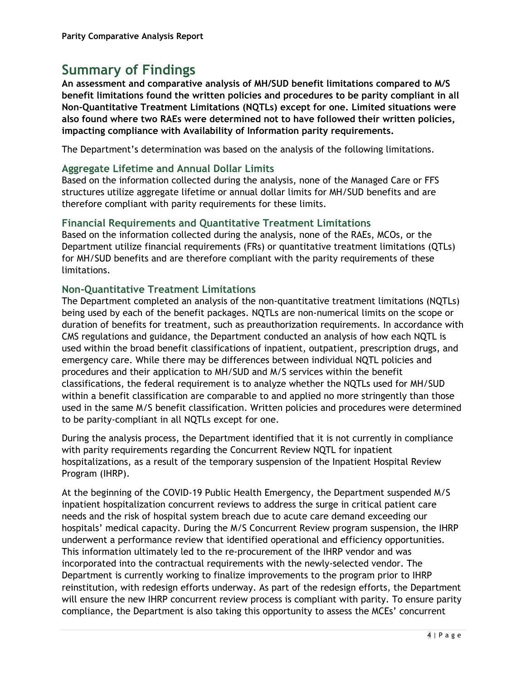## **Summary of Findings**

**An assessment and comparative analysis of MH/SUD benefit limitations compared to M/S benefit limitations found the written policies and procedures to be parity compliant in all Non-Quantitative Treatment Limitations (NQTLs) except for one. Limited situations were also found where two RAEs were determined not to have followed their written policies, impacting compliance with Availability of Information parity requirements.** 

The Department's determination was based on the analysis of the following limitations.

### **Aggregate Lifetime and Annual Dollar Limits**

Based on the information collected during the analysis, none of the Managed Care or FFS structures utilize aggregate lifetime or annual dollar limits for MH/SUD benefits and are therefore compliant with parity requirements for these limits.

### **Financial Requirements and Quantitative Treatment Limitations**

Based on the information collected during the analysis, none of the RAEs, MCOs, or the Department utilize financial requirements (FRs) or quantitative treatment limitations (QTLs) for MH/SUD benefits and are therefore compliant with the parity requirements of these limitations.

### **Non-Quantitative Treatment Limitations**

The Department completed an analysis of the non-quantitative treatment limitations (NQTLs) being used by each of the benefit packages. NQTLs are non-numerical limits on the scope or duration of benefits for treatment, such as preauthorization requirements. In accordance with CMS regulations and guidance, the Department conducted an analysis of how each NQTL is used within the broad benefit classifications of inpatient, outpatient, prescription drugs, and emergency care. While there may be differences between individual NQTL policies and procedures and their application to MH/SUD and M/S services within the benefit classifications, the federal requirement is to analyze whether the NQTLs used for MH/SUD within a benefit classification are comparable to and applied no more stringently than those used in the same M/S benefit classification. Written policies and procedures were determined to be parity-compliant in all NQTLs except for one.

During the analysis process, the Department identified that it is not currently in compliance with parity requirements regarding the Concurrent Review NQTL for inpatient hospitalizations, as a result of the temporary suspension of the Inpatient Hospital Review Program (IHRP).

At the beginning of the COVID-19 Public Health Emergency, the Department suspended M/S inpatient hospitalization concurrent reviews to address the surge in critical patient care needs and the risk of hospital system breach due to acute care demand exceeding our hospitals' medical capacity. During the M/S Concurrent Review program suspension, the IHRP underwent a performance review that identified operational and efficiency opportunities. This information ultimately led to the re-procurement of the IHRP vendor and was incorporated into the contractual requirements with the newly-selected vendor. The Department is currently working to finalize improvements to the program prior to IHRP reinstitution, with redesign efforts underway. As part of the redesign efforts, the Department will ensure the new IHRP concurrent review process is compliant with parity. To ensure parity compliance, the Department is also taking this opportunity to assess the MCEs' concurrent